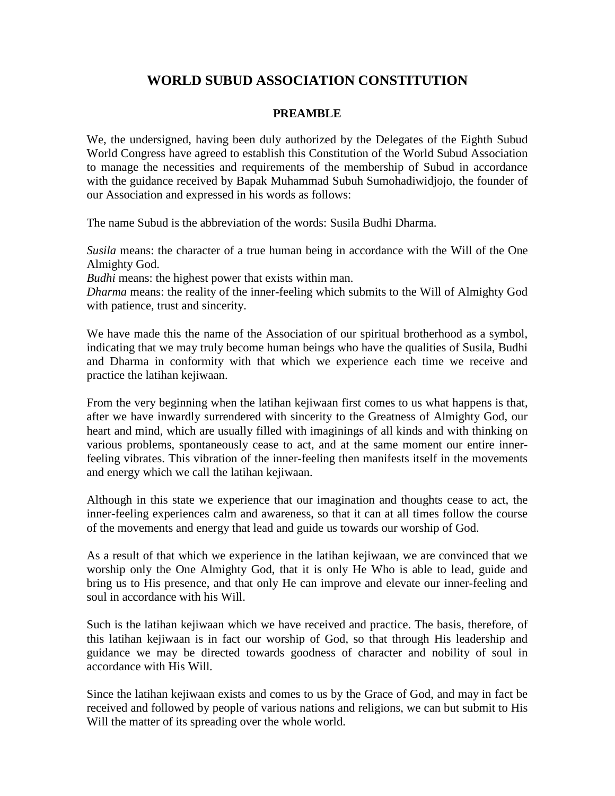# **WORLD SUBUD ASSOCIATION CONSTITUTION**

#### **PREAMBLE**

We, the undersigned, having been duly authorized by the Delegates of the Eighth Subud World Congress have agreed to establish this Constitution of the World Subud Association to manage the necessities and requirements of the membership of Subud in accordance with the guidance received by Bapak Muhammad Subuh Sumohadiwidjojo, the founder of our Association and expressed in his words as follows:

The name Subud is the abbreviation of the words: Susila Budhi Dharma.

*Susila* means: the character of a true human being in accordance with the Will of the One Almighty God.

*Budhi* means: the highest power that exists within man.

*Dharma* means: the reality of the inner-feeling which submits to the Will of Almighty God with patience, trust and sincerity.

We have made this the name of the Association of our spiritual brotherhood as a symbol, indicating that we may truly become human beings who have the qualities of Susila, Budhi and Dharma in conformity with that which we experience each time we receive and practice the latihan kejiwaan.

From the very beginning when the latihan kejiwaan first comes to us what happens is that, after we have inwardly surrendered with sincerity to the Greatness of Almighty God, our heart and mind, which are usually filled with imaginings of all kinds and with thinking on various problems, spontaneously cease to act, and at the same moment our entire innerfeeling vibrates. This vibration of the inner-feeling then manifests itself in the movements and energy which we call the latihan kejiwaan.

Although in this state we experience that our imagination and thoughts cease to act, the inner-feeling experiences calm and awareness, so that it can at all times follow the course of the movements and energy that lead and guide us towards our worship of God.

As a result of that which we experience in the latihan kejiwaan, we are convinced that we worship only the One Almighty God, that it is only He Who is able to lead, guide and bring us to His presence, and that only He can improve and elevate our inner-feeling and soul in accordance with his Will.

Such is the latihan kejiwaan which we have received and practice. The basis, therefore, of this latihan kejiwaan is in fact our worship of God, so that through His leadership and guidance we may be directed towards goodness of character and nobility of soul in accordance with His Will.

Since the latihan kejiwaan exists and comes to us by the Grace of God, and may in fact be received and followed by people of various nations and religions, we can but submit to His Will the matter of its spreading over the whole world.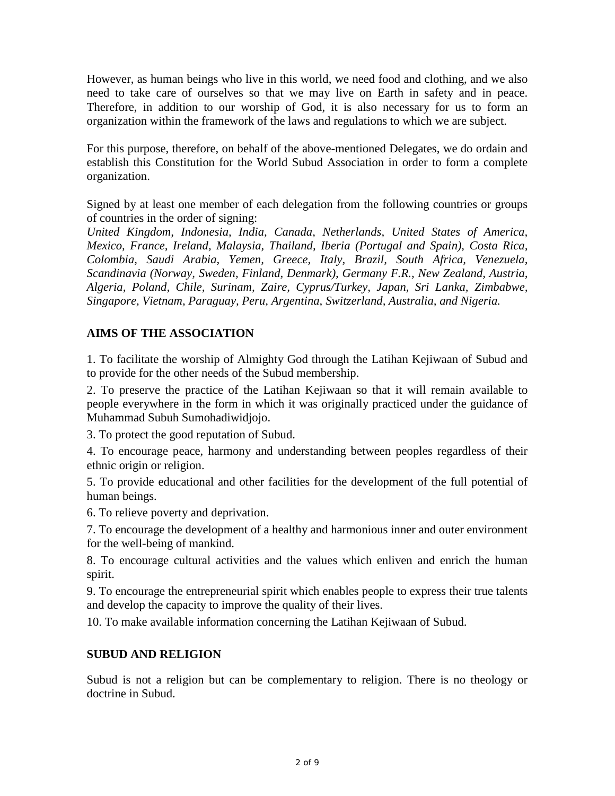However, as human beings who live in this world, we need food and clothing, and we also need to take care of ourselves so that we may live on Earth in safety and in peace. Therefore, in addition to our worship of God, it is also necessary for us to form an organization within the framework of the laws and regulations to which we are subject.

For this purpose, therefore, on behalf of the above-mentioned Delegates, we do ordain and establish this Constitution for the World Subud Association in order to form a complete organization.

Signed by at least one member of each delegation from the following countries or groups of countries in the order of signing:

*United Kingdom, Indonesia, India, Canada, Netherlands, United States of America, Mexico, France, Ireland, Malaysia, Thailand, Iberia (Portugal and Spain), Costa Rica, Colombia, Saudi Arabia, Yemen, Greece, Italy, Brazil, South Africa, Venezuela, Scandinavia (Norway, Sweden, Finland, Denmark), Germany F.R., New Zealand, Austria, Algeria, Poland, Chile, Surinam, Zaire, Cyprus/Turkey, Japan, Sri Lanka, Zimbabwe, Singapore, Vietnam, Paraguay, Peru, Argentina, Switzerland, Australia, and Nigeria.*

#### **AIMS OF THE ASSOCIATION**

1. To facilitate the worship of Almighty God through the Latihan Kejiwaan of Subud and to provide for the other needs of the Subud membership.

2. To preserve the practice of the Latihan Kejiwaan so that it will remain available to people everywhere in the form in which it was originally practiced under the guidance of Muhammad Subuh Sumohadiwidjojo.

3. To protect the good reputation of Subud.

4. To encourage peace, harmony and understanding between peoples regardless of their ethnic origin or religion.

5. To provide educational and other facilities for the development of the full potential of human beings.

6. To relieve poverty and deprivation.

7. To encourage the development of a healthy and harmonious inner and outer environment for the well-being of mankind.

8. To encourage cultural activities and the values which enliven and enrich the human spirit.

9. To encourage the entrepreneurial spirit which enables people to express their true talents and develop the capacity to improve the quality of their lives.

10. To make available information concerning the Latihan Kejiwaan of Subud.

#### **SUBUD AND RELIGION**

Subud is not a religion but can be complementary to religion. There is no theology or doctrine in Subud.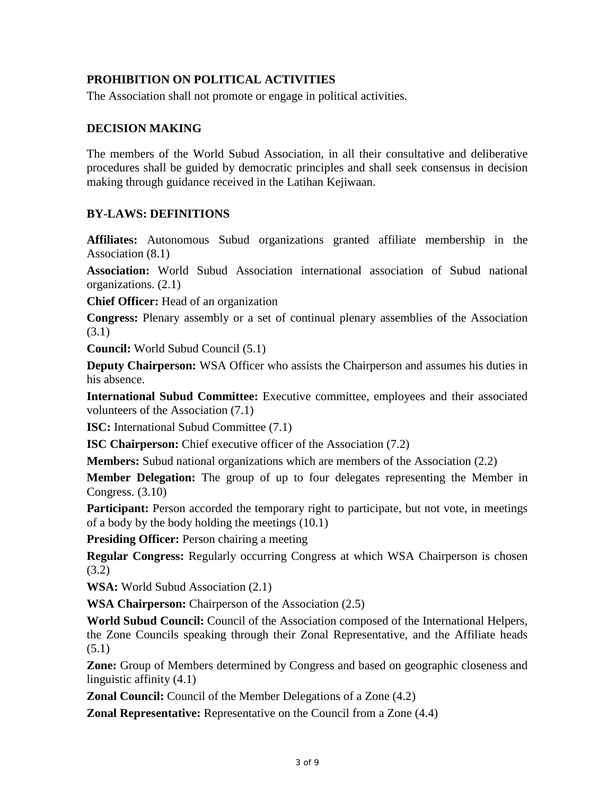# **PROHIBITION ON POLITICAL ACTIVITIES**

The Association shall not promote or engage in political activities.

## **DECISION MAKING**

The members of the World Subud Association, in all their consultative and deliberative procedures shall be guided by democratic principles and shall seek consensus in decision making through guidance received in the Latihan Kejiwaan.

#### **BY-LAWS: DEFINITIONS**

**Affiliates:** Autonomous Subud organizations granted affiliate membership in the Association (8.1)

**Association:** World Subud Association international association of Subud national organizations. (2.1)

**Chief Officer:** Head of an organization

**Congress:** Plenary assembly or a set of continual plenary assemblies of the Association (3.1)

**Council:** World Subud Council (5.1)

**Deputy Chairperson:** WSA Officer who assists the Chairperson and assumes his duties in his absence.

**International Subud Committee:** Executive committee, employees and their associated volunteers of the Association (7.1)

**ISC:** International Subud Committee  $(7.1)$ 

**ISC Chairperson:** Chief executive officer of the Association (7.2)

**Members:** Subud national organizations which are members of the Association (2.2)

**Member Delegation:** The group of up to four delegates representing the Member in Congress. (3.10)

Participant: Person accorded the temporary right to participate, but not vote, in meetings of a body by the body holding the meetings (10.1)

**Presiding Officer:** Person chairing a meeting

**Regular Congress:** Regularly occurring Congress at which WSA Chairperson is chosen (3.2)

**WSA:** World Subud Association (2.1)

**WSA Chairperson:** Chairperson of the Association (2.5)

**World Subud Council:** Council of the Association composed of the International Helpers, the Zone Councils speaking through their Zonal Representative, and the Affiliate heads (5.1)

**Zone:** Group of Members determined by Congress and based on geographic closeness and linguistic affinity (4.1)

**Zonal Council:** Council of the Member Delegations of a Zone  $(4.2)$ 

**Zonal Representative:** Representative on the Council from a Zone  $(4.4)$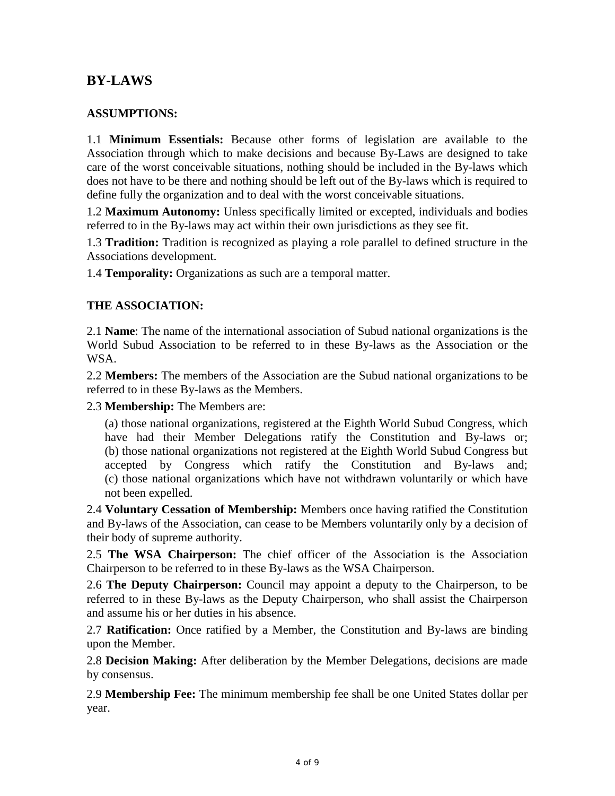# **BY-LAWS**

## **ASSUMPTIONS:**

1.1 **Minimum Essentials:** Because other forms of legislation are available to the Association through which to make decisions and because By-Laws are designed to take care of the worst conceivable situations, nothing should be included in the By-laws which does not have to be there and nothing should be left out of the By-laws which is required to define fully the organization and to deal with the worst conceivable situations.

1.2 **Maximum Autonomy:** Unless specifically limited or excepted, individuals and bodies referred to in the By-laws may act within their own jurisdictions as they see fit.

1.3 **Tradition:** Tradition is recognized as playing a role parallel to defined structure in the Associations development.

1.4 **Temporality:** Organizations as such are a temporal matter.

#### **THE ASSOCIATION:**

2.1 **Name**: The name of the international association of Subud national organizations is the World Subud Association to be referred to in these By-laws as the Association or the WSA.

2.2 **Members:** The members of the Association are the Subud national organizations to be referred to in these By-laws as the Members.

2.3 **Membership:** The Members are:

(a) those national organizations, registered at the Eighth World Subud Congress, which have had their Member Delegations ratify the Constitution and By-laws or; (b) those national organizations not registered at the Eighth World Subud Congress but accepted by Congress which ratify the Constitution and By-laws and; (c) those national organizations which have not withdrawn voluntarily or which have not been expelled.

2.4 **Voluntary Cessation of Membership:** Members once having ratified the Constitution and By-laws of the Association, can cease to be Members voluntarily only by a decision of their body of supreme authority.

2.5 **The WSA Chairperson:** The chief officer of the Association is the Association Chairperson to be referred to in these By-laws as the WSA Chairperson.

2.6 **The Deputy Chairperson:** Council may appoint a deputy to the Chairperson, to be referred to in these By-laws as the Deputy Chairperson, who shall assist the Chairperson and assume his or her duties in his absence.

2.7 **Ratification:** Once ratified by a Member, the Constitution and By-laws are binding upon the Member.

2.8 **Decision Making:** After deliberation by the Member Delegations, decisions are made by consensus.

2.9 **Membership Fee:** The minimum membership fee shall be one United States dollar per year.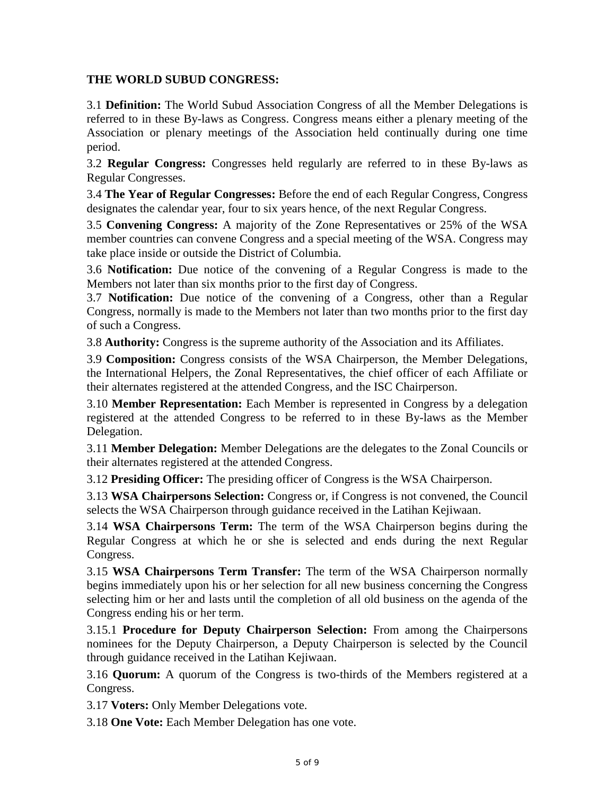### **THE WORLD SUBUD CONGRESS:**

3.1 **Definition:** The World Subud Association Congress of all the Member Delegations is referred to in these By-laws as Congress. Congress means either a plenary meeting of the Association or plenary meetings of the Association held continually during one time period.

3.2 **Regular Congress:** Congresses held regularly are referred to in these By-laws as Regular Congresses.

3.4 **The Year of Regular Congresses:** Before the end of each Regular Congress, Congress designates the calendar year, four to six years hence, of the next Regular Congress.

3.5 **Convening Congress:** A majority of the Zone Representatives or 25% of the WSA member countries can convene Congress and a special meeting of the WSA. Congress may take place inside or outside the District of Columbia.

3.6 **Notification:** Due notice of the convening of a Regular Congress is made to the Members not later than six months prior to the first day of Congress.

3.7 **Notification:** Due notice of the convening of a Congress, other than a Regular Congress, normally is made to the Members not later than two months prior to the first day of such a Congress.

3.8 **Authority:** Congress is the supreme authority of the Association and its Affiliates.

3.9 **Composition:** Congress consists of the WSA Chairperson, the Member Delegations, the International Helpers, the Zonal Representatives, the chief officer of each Affiliate or their alternates registered at the attended Congress, and the ISC Chairperson.

3.10 **Member Representation:** Each Member is represented in Congress by a delegation registered at the attended Congress to be referred to in these By-laws as the Member Delegation.

3.11 **Member Delegation:** Member Delegations are the delegates to the Zonal Councils or their alternates registered at the attended Congress.

3.12 **Presiding Officer:** The presiding officer of Congress is the WSA Chairperson.

3.13 **WSA Chairpersons Selection:** Congress or, if Congress is not convened, the Council selects the WSA Chairperson through guidance received in the Latihan Kejiwaan.

3.14 **WSA Chairpersons Term:** The term of the WSA Chairperson begins during the Regular Congress at which he or she is selected and ends during the next Regular Congress.

3.15 **WSA Chairpersons Term Transfer:** The term of the WSA Chairperson normally begins immediately upon his or her selection for all new business concerning the Congress selecting him or her and lasts until the completion of all old business on the agenda of the Congress ending his or her term.

3.15.1 **Procedure for Deputy Chairperson Selection:** From among the Chairpersons nominees for the Deputy Chairperson, a Deputy Chairperson is selected by the Council through guidance received in the Latihan Kejiwaan.

3.16 **Quorum:** A quorum of the Congress is two-thirds of the Members registered at a Congress.

3.17 **Voters:** Only Member Delegations vote.

3.18 **One Vote:** Each Member Delegation has one vote.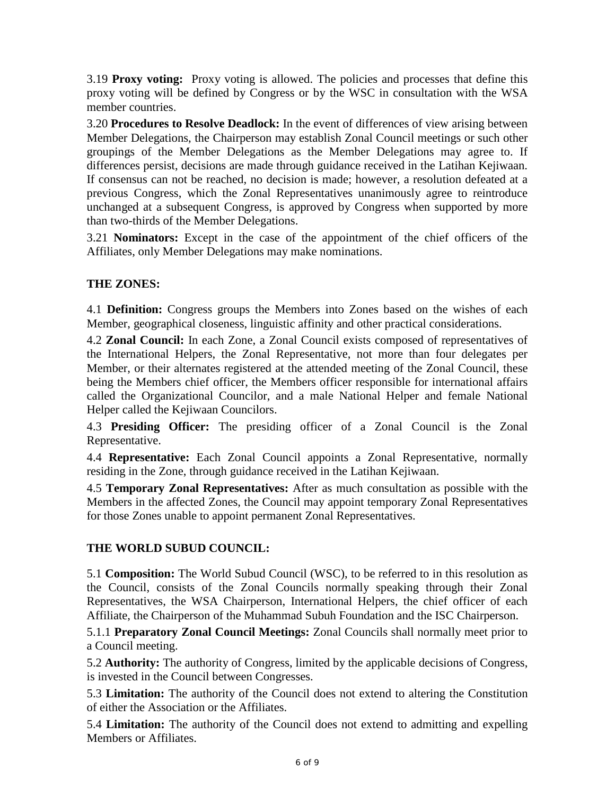3.19 **Proxy voting:** Proxy voting is allowed. The policies and processes that define this proxy voting will be defined by Congress or by the WSC in consultation with the WSA member countries.

3.20 **Procedures to Resolve Deadlock:** In the event of differences of view arising between Member Delegations, the Chairperson may establish Zonal Council meetings or such other groupings of the Member Delegations as the Member Delegations may agree to. If differences persist, decisions are made through guidance received in the Latihan Kejiwaan. If consensus can not be reached, no decision is made; however, a resolution defeated at a previous Congress, which the Zonal Representatives unanimously agree to reintroduce unchanged at a subsequent Congress, is approved by Congress when supported by more than two-thirds of the Member Delegations.

3.21 **Nominators:** Except in the case of the appointment of the chief officers of the Affiliates, only Member Delegations may make nominations.

# **THE ZONES:**

4.1 **Definition:** Congress groups the Members into Zones based on the wishes of each Member, geographical closeness, linguistic affinity and other practical considerations.

4.2 **Zonal Council:** In each Zone, a Zonal Council exists composed of representatives of the International Helpers, the Zonal Representative, not more than four delegates per Member, or their alternates registered at the attended meeting of the Zonal Council, these being the Members chief officer, the Members officer responsible for international affairs called the Organizational Councilor, and a male National Helper and female National Helper called the Kejiwaan Councilors.

4.3 **Presiding Officer:** The presiding officer of a Zonal Council is the Zonal Representative.

4.4 **Representative:** Each Zonal Council appoints a Zonal Representative, normally residing in the Zone, through guidance received in the Latihan Kejiwaan.

4.5 **Temporary Zonal Representatives:** After as much consultation as possible with the Members in the affected Zones, the Council may appoint temporary Zonal Representatives for those Zones unable to appoint permanent Zonal Representatives.

#### **THE WORLD SUBUD COUNCIL:**

5.1 **Composition:** The World Subud Council (WSC), to be referred to in this resolution as the Council, consists of the Zonal Councils normally speaking through their Zonal Representatives, the WSA Chairperson, International Helpers, the chief officer of each Affiliate, the Chairperson of the Muhammad Subuh Foundation and the ISC Chairperson.

5.1.1 **Preparatory Zonal Council Meetings:** Zonal Councils shall normally meet prior to a Council meeting.

5.2 **Authority:** The authority of Congress, limited by the applicable decisions of Congress, is invested in the Council between Congresses.

5.3 **Limitation:** The authority of the Council does not extend to altering the Constitution of either the Association or the Affiliates.

5.4 **Limitation:** The authority of the Council does not extend to admitting and expelling Members or Affiliates.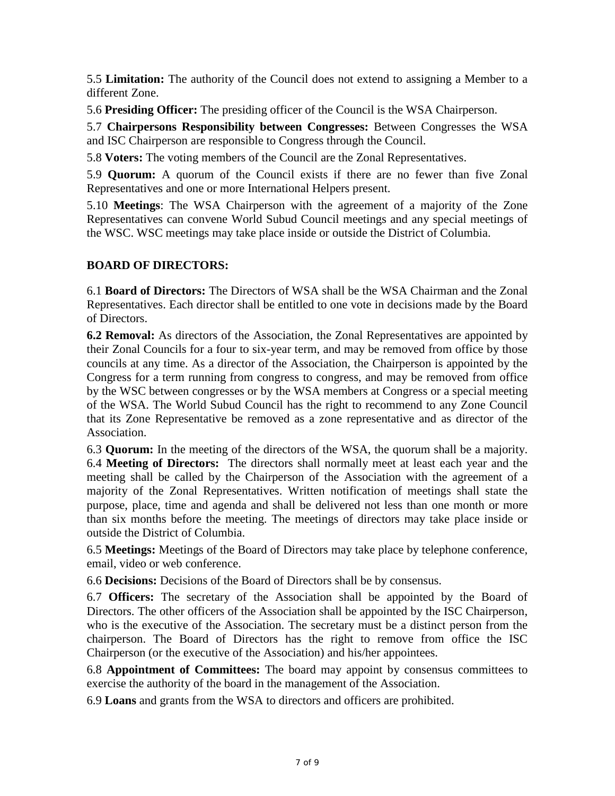5.5 **Limitation:** The authority of the Council does not extend to assigning a Member to a different Zone.

5.6 **Presiding Officer:** The presiding officer of the Council is the WSA Chairperson.

5.7 **Chairpersons Responsibility between Congresses:** Between Congresses the WSA and ISC Chairperson are responsible to Congress through the Council.

5.8 **Voters:** The voting members of the Council are the Zonal Representatives.

5.9 **Quorum:** A quorum of the Council exists if there are no fewer than five Zonal Representatives and one or more International Helpers present.

5.10 **Meetings**: The WSA Chairperson with the agreement of a majority of the Zone Representatives can convene World Subud Council meetings and any special meetings of the WSC. WSC meetings may take place inside or outside the District of Columbia.

#### **BOARD OF DIRECTORS:**

6.1 **Board of Directors:** The Directors of WSA shall be the WSA Chairman and the Zonal Representatives. Each director shall be entitled to one vote in decisions made by the Board of Directors.

**6.2 Removal:** As directors of the Association, the Zonal Representatives are appointed by their Zonal Councils for a four to six-year term, and may be removed from office by those councils at any time. As a director of the Association, the Chairperson is appointed by the Congress for a term running from congress to congress, and may be removed from office by the WSC between congresses or by the WSA members at Congress or a special meeting of the WSA. The World Subud Council has the right to recommend to any Zone Council that its Zone Representative be removed as a zone representative and as director of the Association.

6.3 **Quorum:** In the meeting of the directors of the WSA, the quorum shall be a majority. 6.4 **Meeting of Directors:** The directors shall normally meet at least each year and the meeting shall be called by the Chairperson of the Association with the agreement of a majority of the Zonal Representatives. Written notification of meetings shall state the purpose, place, time and agenda and shall be delivered not less than one month or more than six months before the meeting. The meetings of directors may take place inside or outside the District of Columbia.

6.5 **Meetings:** Meetings of the Board of Directors may take place by telephone conference, email, video or web conference.

6.6 **Decisions:** Decisions of the Board of Directors shall be by consensus.

6.7 **Officers:** The secretary of the Association shall be appointed by the Board of Directors. The other officers of the Association shall be appointed by the ISC Chairperson, who is the executive of the Association. The secretary must be a distinct person from the chairperson. The Board of Directors has the right to remove from office the ISC Chairperson (or the executive of the Association) and his/her appointees.

6.8 **Appointment of Committees:** The board may appoint by consensus committees to exercise the authority of the board in the management of the Association.

6.9 **Loans** and grants from the WSA to directors and officers are prohibited.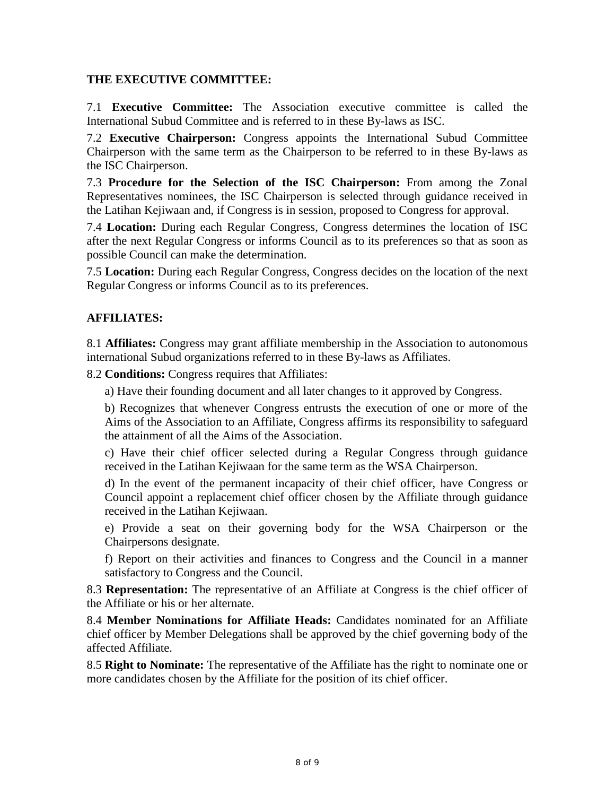#### **THE EXECUTIVE COMMITTEE:**

7.1 **Executive Committee:** The Association executive committee is called the International Subud Committee and is referred to in these By-laws as ISC.

7.2 **Executive Chairperson:** Congress appoints the International Subud Committee Chairperson with the same term as the Chairperson to be referred to in these By-laws as the ISC Chairperson.

7.3 **Procedure for the Selection of the ISC Chairperson:** From among the Zonal Representatives nominees, the ISC Chairperson is selected through guidance received in the Latihan Kejiwaan and, if Congress is in session, proposed to Congress for approval.

7.4 **Location:** During each Regular Congress, Congress determines the location of ISC after the next Regular Congress or informs Council as to its preferences so that as soon as possible Council can make the determination.

7.5 **Location:** During each Regular Congress, Congress decides on the location of the next Regular Congress or informs Council as to its preferences.

#### **AFFILIATES:**

8.1 **Affiliates:** Congress may grant affiliate membership in the Association to autonomous international Subud organizations referred to in these By-laws as Affiliates.

8.2 **Conditions:** Congress requires that Affiliates:

a) Have their founding document and all later changes to it approved by Congress.

b) Recognizes that whenever Congress entrusts the execution of one or more of the Aims of the Association to an Affiliate, Congress affirms its responsibility to safeguard the attainment of all the Aims of the Association.

c) Have their chief officer selected during a Regular Congress through guidance received in the Latihan Kejiwaan for the same term as the WSA Chairperson.

d) In the event of the permanent incapacity of their chief officer, have Congress or Council appoint a replacement chief officer chosen by the Affiliate through guidance received in the Latihan Kejiwaan.

e) Provide a seat on their governing body for the WSA Chairperson or the Chairpersons designate.

f) Report on their activities and finances to Congress and the Council in a manner satisfactory to Congress and the Council.

8.3 **Representation:** The representative of an Affiliate at Congress is the chief officer of the Affiliate or his or her alternate.

8.4 **Member Nominations for Affiliate Heads:** Candidates nominated for an Affiliate chief officer by Member Delegations shall be approved by the chief governing body of the affected Affiliate.

8.5 **Right to Nominate:** The representative of the Affiliate has the right to nominate one or more candidates chosen by the Affiliate for the position of its chief officer.